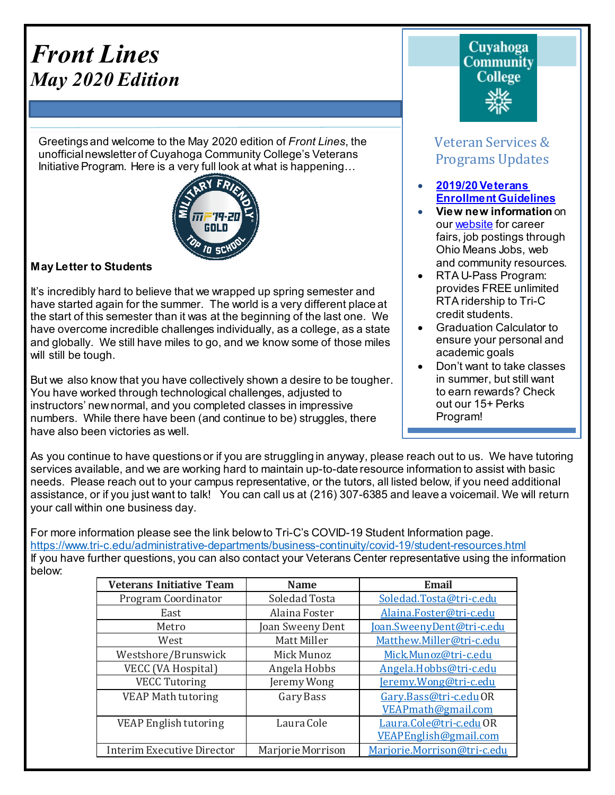# *Front Lines May 2020 Edition*

Greetings and welcome to the May 2020 edition of *Front Lines*, the unofficialnewsletter of Cuyahoga Community College's Veterans Initiative Program. Here is a very full look at what is happening...



# **May Letter to Students**

It's incredibly hard to believe that we wrapped up spring semester and have started again for the summer. The world is a very different place at the start of this semester than it was at the beginning of the last one. We have overcome incredible challenges individually, as a college, as a state and globally. We still have miles to go, and we know some of those miles will still be tough.

But we also know that you have collectively shown a desire to be tougher. You have worked through technological challenges, adjusted to instructors' newnormal, and you completed classes in impressive numbers. While there have been (and continue to be) struggles, there have also been victories as well.

Cuvahoga **Community College** 

# Veteran Services & Programs Updates

- **[2019/20Veterans](http://www.tri-c.edu/veterans/documents/veterans-student-veteran-guide-flyer-2017.pdf) [Enrollment](http://www.tri-c.edu/veterans/documents/veterans-student-veteran-guide-flyer-2017.pdf) Guidelines**
- **View new information** on our [website](http://www.tri-c.edu/veterans/) for career fairs, job postings through Ohio Means Jobs, web and community resources.
- RTA U-Pass Program: provides FREE unlimited RTA ridership to Tri-C credit students.
- Graduation Calculator to ensure your personal and academic goals
- Don't want to take classes in summer, but still want to earn rewards? Check out our 15+ Perks Program!

•

As you continue to have questions or if you are struggling in anyway, please reach out to us. We have tutoring services available, and we are working hard to maintain up-to-date resource information to assist with basic needs. Please reach out to your campus representative, or the tutors, all listed below, if you need additional assistance, or if you just want to talk! You can call us at (216) 307-6385 and leave a voicemail. We will return your call within one business day.

For more information please see the link below to Tri-C's COVID-19 Student Information page. <https://www.tri-c.edu/administrative-departments/business-continuity/covid-19/student-resources.html> If you have further questions, you can also contact your Veterans Center representative using the information below:

| <b>Veterans Initiative Team</b>   | <b>Name</b>       | Email                       |
|-----------------------------------|-------------------|-----------------------------|
| Program Coordinator               | Soledad Tosta     | Soledad.Tosta@tri-c.edu     |
| East                              | Alaina Foster     | Alaina.Foster@tri-c.edu     |
| Metro                             | Joan Sweeny Dent  | Joan.SweenyDent@tri-c.edu   |
| West                              | Matt Miller       | Matthew.Miller@tri-c.edu    |
| Westshore/Brunswick               | Mick Munoz        | Mick.Munoz@tri-c.edu        |
| VECC (VA Hospital)                | Angela Hobbs      | Angela.Hobbs@tri-c.edu      |
| <b>VECC Tutoring</b>              | Jeremy Wong       | Jeremy.Wong@tri-c.edu       |
| VEAP Math tutoring                | Gary Bass         | Gary.Bass@tri-c.eduOR       |
|                                   |                   | VEAPmath@gmail.com          |
| VEAP English tutoring             | Laura Cole        | Laura.Cole@tri-c.edu OR     |
|                                   |                   | VEAPEnglish@gmail.com       |
| <b>Interim Executive Director</b> | Marjorie Morrison | Marjorie.Morrison@tri-c.edu |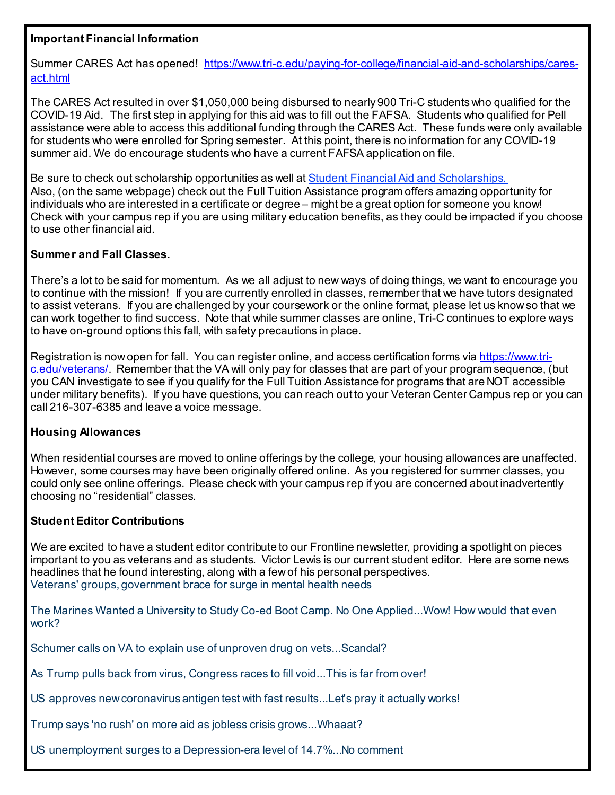# **Important Financial Information**

Summer CARES Act has opened! [https://www.tri-c.edu/paying-for-college/financial-aid-and-scholarships/cares](https://www.tri-c.edu/paying-for-college/financial-aid-and-scholarships/cares-act.html)[act.html](https://www.tri-c.edu/paying-for-college/financial-aid-and-scholarships/cares-act.html)

The CARES Act resulted in over \$1,050,000 being disbursed to nearly 900 Tri-C students who qualified for the COVID-19 Aid. The first step in applying for this aid was to fill out the FAFSA. Students who qualified for Pell assistance were able to access this additional funding through the CARES Act. These funds were only available for students who were enrolled for Spring semester. At this point, there is no information for any COVID-19 summer aid. We do encourage students who have a current FAFSA application on file.

Be sure to check out scholarship opportunities as well at Student Financial Aid and [Scholarships.](https://click.icptrack.com/icp/relay.php?r=14424044&msgid=938252&act=V41T&c=192417&destination=https%3A%2F%2Fwww.tri-c.edu%2Fpaying-for-college%2Ffinancial-aid-and-scholarships%2Findex.html%3Futm_source%3DiContact%26utm_medium%3Demail%26utm_campaign%3Doffice-of-access-completion%26utm_content%3DUpdate%2BCoronavirus%2Bre%253A%2BServices_0311820) Also, (on the same webpage) check out the Full Tuition Assistance program offers amazing opportunity for individuals who are interested in a certificate or degree – might be a great option for someone you know! Check with your campus rep if you are using military education benefits, as they could be impacted if you choose to use other financial aid.

# **Summer and Fall Classes.**

There's a lot to be said for momentum. As we all adjust to new ways of doing things, we want to encourage you to continue with the mission! If you are currently enrolled in classes, remember that we have tutors designated to assist veterans. If you are challenged by your coursework or the online format, please let us know so that we can work together to find success. Note that while summer classes are online, Tri-C continues to explore ways to have on-ground options this fall, with safety precautions in place.

Registration is now open for fall. You can register online, and access certification forms vi[a https://www.tri](https://www.tri-c.edu/veterans/)[c.edu/veterans/](https://www.tri-c.edu/veterans/). Remember that the VA will only pay for classes that are part of your program sequence, (but you CAN investigate to see if you qualify for the Full Tuition Assistance for programs that are NOT accessible under military benefits). If you have questions, you can reach out to your Veteran Center Campus rep or you can call 216-307-6385 and leave a voice message.

# **Housing Allowances**

When residential courses are moved to online offerings by the college, your housing allowances are unaffected. However, some courses may have been originally offered online. As you registered for summer classes, you could only see online offerings. Please check with your campus rep if you are concerned about inadvertently choosing no "residential" classes.

# **Student Editor Contributions**

We are excited to have a student editor contribute to our Frontline newsletter, providing a spotlight on pieces important to you as veterans and as students. Victor Lewis is our current student editor. Here are some news headlines that he found interesting, along with a few of his personal perspectives. Veterans' groups, government brace for surge in mental health needs

The Marines Wanted a University to Study Co-ed Boot Camp. No One Applied...Wow! How would that even work?

Schumer calls on VA to explain use of unproven drug on vets...Scandal?

As Trump pulls back from virus, Congress races to fill void...This is far from over!

US approves new coronavirus antigen test with fast results...Let's pray it actually works!

Trump says 'no rush' on more aid as jobless crisis grows...Whaaat?

US unemployment surges to a Depression-era level of 14.7%...No comment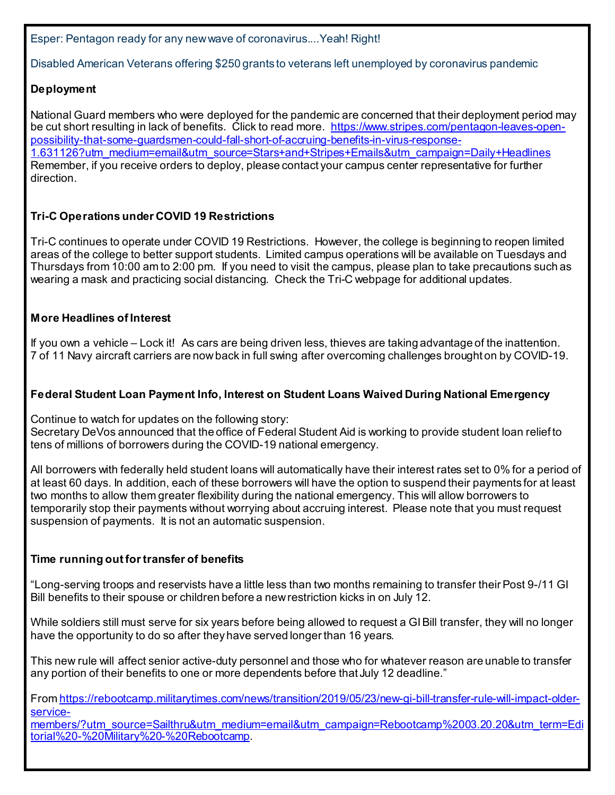Esper: Pentagon ready for any new wave of coronavirus....Yeah! Right!

Disabled American Veterans offering \$250 grants to veterans left unemployed by coronavirus pandemic

# **Deployment**

National Guard members who were deployed for the pandemic are concerned that their deployment period may be cut short resulting in lack of benefits. Click to read more. [https://www.stripes.com/pentagon-leaves-open](https://www.stripes.com/pentagon-leaves-open-possibility-that-some-guardsmen-could-fall-short-of-accruing-benefits-in-virus-response-1.631126?utm_medium=email&utm_source=Stars+and+Stripes+Emails&utm_campaign=Daily+Headlines)[possibility-that-some-guardsmen-could-fall-short-of-accruing-benefits-in-virus-response-](https://www.stripes.com/pentagon-leaves-open-possibility-that-some-guardsmen-could-fall-short-of-accruing-benefits-in-virus-response-1.631126?utm_medium=email&utm_source=Stars+and+Stripes+Emails&utm_campaign=Daily+Headlines)[1.631126?utm\\_medium=email&utm\\_source=Stars+and+Stripes+Emails&utm\\_campaign=Daily+Headlines](https://www.stripes.com/pentagon-leaves-open-possibility-that-some-guardsmen-could-fall-short-of-accruing-benefits-in-virus-response-1.631126?utm_medium=email&utm_source=Stars+and+Stripes+Emails&utm_campaign=Daily+Headlines) Remember, if you receive orders to deploy, please contact your campus center representative for further direction.

# **Tri-C Operations under COVID 19 Restrictions**

Tri-C continues to operate under COVID 19 Restrictions. However, the college is beginning to reopen limited areas of the college to better support students. Limited campus operations will be available on Tuesdays and Thursdays from 10:00 am to 2:00 pm. If you need to visit the campus, please plan to take precautions such as wearing a mask and practicing social distancing. Check the Tri-C webpage for additional updates.

# **More Headlines of Interest**

If you own a vehicle – Lock it! As cars are being driven less, thieves are taking advantage of the inattention. 7 of 11 Navy aircraft carriers are now back in full swing after overcoming challenges brought on by COVID-19.

# **Federal Student Loan Payment Info, Interest on Student Loans Waived During National Emergency**

Continue to watch for updates on the following story: Secretary DeVos announced that the office of Federal Student Aid is working to provide student loan relief to tens of millions of borrowers during the COVID-19 national emergency.

All borrowers with federally held student loans will automatically have their interest rates set to 0% for a period of at least 60 days. In addition, each of these borrowers will have the option to suspend their payments for at least two months to allow them greater flexibility during the national emergency. This will allow borrowers to temporarily stop their payments without worrying about accruing interest. Please note that you must request suspension of payments. It is not an automatic suspension.

# **Time running out for transfer of benefits**

"Long-serving troops and reservists have a little less than two months remaining to transfer their Post 9-/11 GI Bill benefits to their spouse or children before a new restriction kicks in on July 12.

While soldiers still must serve for six years before being allowed to request a GI Bill transfer, they will no longer have the opportunity to do so after they have served longer than 16 years.

This new rule will affect senior active-duty personnel and those who for whatever reason are unable to transfer any portion of their benefits to one or more dependents before that July 12 deadline."

From [https://rebootcamp.militarytimes.com/news/transition/2019/05/23/new-gi-bill-transfer-rule-will-impact-older](https://rebootcamp.militarytimes.com/news/transition/2019/05/23/new-gi-bill-transfer-rule-will-impact-older-service-members/?utm_source=Sailthru&utm_medium=email&utm_campaign=Rebootcamp%2003.20.20&utm_term=Editorial%20-%20Military%20-%20Rebootcamp)[service-](https://rebootcamp.militarytimes.com/news/transition/2019/05/23/new-gi-bill-transfer-rule-will-impact-older-service-members/?utm_source=Sailthru&utm_medium=email&utm_campaign=Rebootcamp%2003.20.20&utm_term=Editorial%20-%20Military%20-%20Rebootcamp)

[members/?utm\\_source=Sailthru&utm\\_medium=email&utm\\_campaign=Rebootcamp%2003.20.20&utm\\_term=Edi](https://rebootcamp.militarytimes.com/news/transition/2019/05/23/new-gi-bill-transfer-rule-will-impact-older-service-members/?utm_source=Sailthru&utm_medium=email&utm_campaign=Rebootcamp%2003.20.20&utm_term=Editorial%20-%20Military%20-%20Rebootcamp) [torial%20-%20Military%20-%20Rebootcamp.](https://rebootcamp.militarytimes.com/news/transition/2019/05/23/new-gi-bill-transfer-rule-will-impact-older-service-members/?utm_source=Sailthru&utm_medium=email&utm_campaign=Rebootcamp%2003.20.20&utm_term=Editorial%20-%20Military%20-%20Rebootcamp)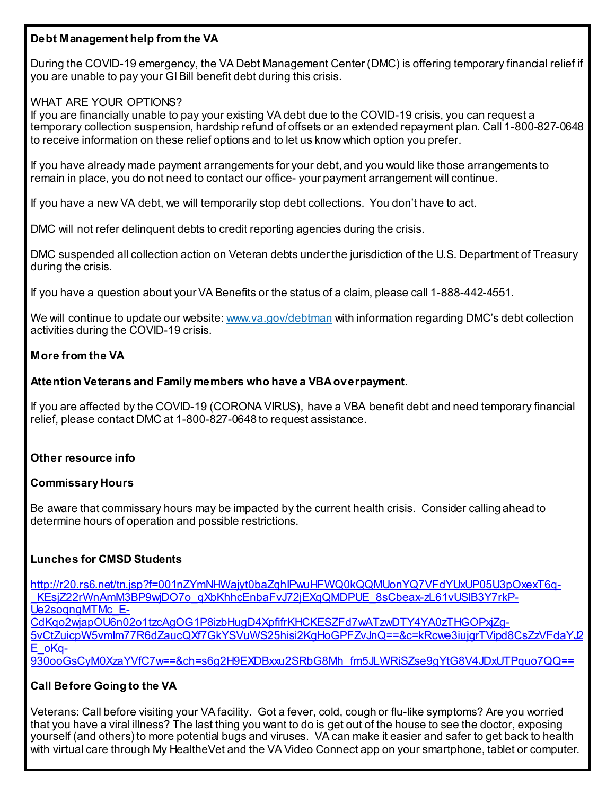# **Debt Management help from the VA**

During the COVID-19 emergency, the VA Debt Management Center (DMC) is offering temporary financial relief if you are unable to pay your GI Bill benefit debt during this crisis.

# WHAT ARE YOUR OPTIONS?

If you are financially unable to pay your existing VA debt due to the COVID-19 crisis, you can request a temporary collection suspension, hardship refund of offsets or an extended repayment plan. Call 1-800-827-0648 to receive information on these relief options and to let us know which option you prefer.

If you have already made payment arrangements for your debt, and you would like those arrangements to remain in place, you do not need to contact our office- your payment arrangement will continue.

If you have a new VA debt, we will temporarily stop debt collections. You don't have to act.

DMC will not refer delinquent debts to credit reporting agencies during the crisis.

DMC suspended all collection action on Veteran debts under the jurisdiction of the U.S. Department of Treasury during the crisis.

If you have a question about your VA Benefits or the status of a claim, please call 1-888-442-4551.

We will continue to update our website[: www.va.gov/debtman](https://lnks.gd/l/eyJhbGciOiJIUzI1NiJ9.eyJidWxsZXRpbl9saW5rX2lkIjoxMDAsInVyaSI6ImJwMjpjbGljayIsImJ1bGxldGluX2lkIjoiMjAyMDA0MTMuMjAwNjkzNjEiLCJ1cmwiOiJodHRwOi8vd3d3LnZhLmdvdi9kZWJ0bWFuIn0.CMKJT1p5mGYLKS_c7VmfHYXxABdTwrDdz6WYGbZYX3s/br/77323812574-l) with information regarding DMC's debt collection activities during the COVID-19 crisis.

# **More from the VA**

# **Attention Veterans and Family members who have a VBAoverpayment.**

If you are affected by the COVID-19 (CORONA VIRUS), have a VBA benefit debt and need temporary financial relief, please contact DMC at 1-800-827-0648 to request assistance.

# **Other resource info**

# **Commissary Hours**

Be aware that commissary hours may be impacted by the current health crisis. Consider calling ahead to determine hours of operation and possible restrictions.

# **Lunches for CMSD Students**

[http://r20.rs6.net/tn.jsp?f=001nZYmNHWajyt0baZqhIPwuHFWQ0kQQMUonYQ7VFdYUxUP05U3pOxexT6q-](http://r20.rs6.net/tn.jsp?f=001nZYmNHWajyt0baZqhIPwuHFWQ0kQQMUonYQ7VFdYUxUP05U3pOxexT6q-_KEsjZ22rWnAmM3BP9wjDO7o_qXbKhhcEnbaFvJ72jEXqQMDPUE_8sCbeax-zL61vUSlB3Y7rkP-Ue2soqngMTMc_E-CdKqo2wjapOU6n02o1tzcAgOG1P8izbHugD4XpfifrKHCKESZFd7wATzwDTY4YA0zTHGOPxjZg-5vCtZuicpW5vmIm77R6dZaucQXf7GkYSVuWS25hisi2KgHoGPFZvJnQ==&c=kRcwe3iujgrTVipd8CsZzVFdaYJ2E_oKq-930ooGsCyM0XzaYVfC7w==&ch=s6g2H9EXDBxxu2SRbG8Mh_fm5JLWRiSZse9gYtG8V4JDxUTPquo7QQ==) KEsiZ22rWnAmM3BP9wiDO7o\_qXbKhhcEnbaFvJ72iEXqQMDPUE\_8sCbeax-zL61vUSIB3Y7rkP-[Ue2soqngMTMc\\_E-](http://r20.rs6.net/tn.jsp?f=001nZYmNHWajyt0baZqhIPwuHFWQ0kQQMUonYQ7VFdYUxUP05U3pOxexT6q-_KEsjZ22rWnAmM3BP9wjDO7o_qXbKhhcEnbaFvJ72jEXqQMDPUE_8sCbeax-zL61vUSlB3Y7rkP-Ue2soqngMTMc_E-CdKqo2wjapOU6n02o1tzcAgOG1P8izbHugD4XpfifrKHCKESZFd7wATzwDTY4YA0zTHGOPxjZg-5vCtZuicpW5vmIm77R6dZaucQXf7GkYSVuWS25hisi2KgHoGPFZvJnQ==&c=kRcwe3iujgrTVipd8CsZzVFdaYJ2E_oKq-930ooGsCyM0XzaYVfC7w==&ch=s6g2H9EXDBxxu2SRbG8Mh_fm5JLWRiSZse9gYtG8V4JDxUTPquo7QQ==)[CdKqo2wjapOU6n02o1tzcAgOG1P8izbHugD4XpfifrKHCKESZFd7wATzwDTY4YA0zTHGOPxjZg-](http://r20.rs6.net/tn.jsp?f=001nZYmNHWajyt0baZqhIPwuHFWQ0kQQMUonYQ7VFdYUxUP05U3pOxexT6q-_KEsjZ22rWnAmM3BP9wjDO7o_qXbKhhcEnbaFvJ72jEXqQMDPUE_8sCbeax-zL61vUSlB3Y7rkP-Ue2soqngMTMc_E-CdKqo2wjapOU6n02o1tzcAgOG1P8izbHugD4XpfifrKHCKESZFd7wATzwDTY4YA0zTHGOPxjZg-5vCtZuicpW5vmIm77R6dZaucQXf7GkYSVuWS25hisi2KgHoGPFZvJnQ==&c=kRcwe3iujgrTVipd8CsZzVFdaYJ2E_oKq-930ooGsCyM0XzaYVfC7w==&ch=s6g2H9EXDBxxu2SRbG8Mh_fm5JLWRiSZse9gYtG8V4JDxUTPquo7QQ==)[5vCtZuicpW5vmIm77R6dZaucQXf7GkYSVuWS25hisi2KgHoGPFZvJnQ==&c=kRcwe3iujgrTVipd8CsZzVFdaYJ2](http://r20.rs6.net/tn.jsp?f=001nZYmNHWajyt0baZqhIPwuHFWQ0kQQMUonYQ7VFdYUxUP05U3pOxexT6q-_KEsjZ22rWnAmM3BP9wjDO7o_qXbKhhcEnbaFvJ72jEXqQMDPUE_8sCbeax-zL61vUSlB3Y7rkP-Ue2soqngMTMc_E-CdKqo2wjapOU6n02o1tzcAgOG1P8izbHugD4XpfifrKHCKESZFd7wATzwDTY4YA0zTHGOPxjZg-5vCtZuicpW5vmIm77R6dZaucQXf7GkYSVuWS25hisi2KgHoGPFZvJnQ==&c=kRcwe3iujgrTVipd8CsZzVFdaYJ2E_oKq-930ooGsCyM0XzaYVfC7w==&ch=s6g2H9EXDBxxu2SRbG8Mh_fm5JLWRiSZse9gYtG8V4JDxUTPquo7QQ==) [E\\_oKq-](http://r20.rs6.net/tn.jsp?f=001nZYmNHWajyt0baZqhIPwuHFWQ0kQQMUonYQ7VFdYUxUP05U3pOxexT6q-_KEsjZ22rWnAmM3BP9wjDO7o_qXbKhhcEnbaFvJ72jEXqQMDPUE_8sCbeax-zL61vUSlB3Y7rkP-Ue2soqngMTMc_E-CdKqo2wjapOU6n02o1tzcAgOG1P8izbHugD4XpfifrKHCKESZFd7wATzwDTY4YA0zTHGOPxjZg-5vCtZuicpW5vmIm77R6dZaucQXf7GkYSVuWS25hisi2KgHoGPFZvJnQ==&c=kRcwe3iujgrTVipd8CsZzVFdaYJ2E_oKq-930ooGsCyM0XzaYVfC7w==&ch=s6g2H9EXDBxxu2SRbG8Mh_fm5JLWRiSZse9gYtG8V4JDxUTPquo7QQ==)[930ooGsCyM0XzaYVfC7w==&ch=s6g2H9EXDBxxu2SRbG8Mh\\_fm5JLWRiSZse9gYtG8V4JDxUTPquo7QQ==](http://r20.rs6.net/tn.jsp?f=001nZYmNHWajyt0baZqhIPwuHFWQ0kQQMUonYQ7VFdYUxUP05U3pOxexT6q-_KEsjZ22rWnAmM3BP9wjDO7o_qXbKhhcEnbaFvJ72jEXqQMDPUE_8sCbeax-zL61vUSlB3Y7rkP-Ue2soqngMTMc_E-CdKqo2wjapOU6n02o1tzcAgOG1P8izbHugD4XpfifrKHCKESZFd7wATzwDTY4YA0zTHGOPxjZg-5vCtZuicpW5vmIm77R6dZaucQXf7GkYSVuWS25hisi2KgHoGPFZvJnQ==&c=kRcwe3iujgrTVipd8CsZzVFdaYJ2E_oKq-930ooGsCyM0XzaYVfC7w==&ch=s6g2H9EXDBxxu2SRbG8Mh_fm5JLWRiSZse9gYtG8V4JDxUTPquo7QQ==)

# **Call Before Going to the VA**

Veterans: Call before visiting your VA facility. Got a fever, cold, cough or flu-like symptoms? Are you worried that you have a viral illness? The last thing you want to do is get out of the house to see the doctor, exposing yourself (and others) to more potential bugs and viruses. VA can make it easier and safer to get back to health with virtual care through My HealtheVet and the VA Video Connect app on your smartphone, tablet or computer.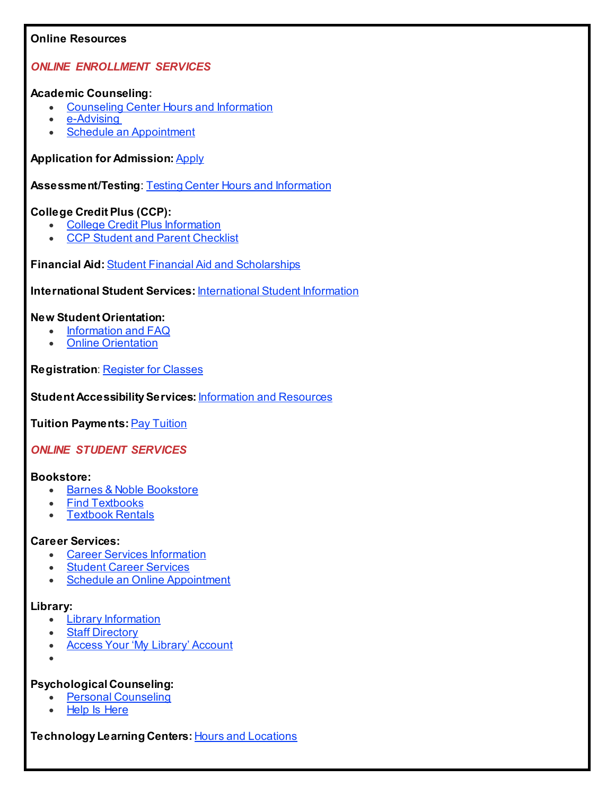## **Online Resources**

## *ONLINE ENROLLMENT SERVICES*

#### **Academic Counseling:**

- [Counseling](https://click.icptrack.com/icp/relay.php?r=14424044&msgid=938252&act=V41T&c=192417&destination=https%3A%2F%2Fwww.tri-c.edu%2Fcounseling-center%2Findex.html%3Futm_source%3DiContact%26utm_medium%3Demail%26utm_campaign%3Doffice-of-access-completion%26utm_content%3DUpdate%2BCoronavirus%2Bre%253A%2BServices_0311820) Center Hours and Information
- [e-Advising](https://click.icptrack.com/icp/relay.php?r=14424044&msgid=938252&act=V41T&c=192417&destination=https%3A%2F%2Fwww.tri-c.edu%2Fcounseling-center%2Fe-advising-request-information.html%3Futm_source%3DiContact%26utm_medium%3Demail%26utm_campaign%3Doffice-of-access-completion%26utm_content%3DUpdate%2BCoronavirus%2Bre%253A%2BServices_0311820)
- Schedule an [Appointment](https://click.icptrack.com/icp/relay.php?r=14424044&msgid=938252&act=V41T&c=192417&destination=https%3A%2F%2Fesars.tri-c.edu%2Fesars%2FCounseling.htm%3F_ga%3D2.98126751.1643819149.1584367999-1341745165.1541180067)

## **Application for Admission: [Apply](https://click.icptrack.com/icp/relay.php?r=14424044&msgid=938252&act=V41T&c=192417&destination=https%3A%2F%2Fwww.tri-c.edu%2Fapply%2F%3Futm_source%3DiContact%26utm_medium%3Demail%26utm_campaign%3Doffice-of-access-completion%26utm_content%3DUpdate%2BCoronavirus%2Bre%253A%2BServices_0311820)**

**Assessment/Testing**: Testing Center Hours and [Information](https://click.icptrack.com/icp/relay.php?r=14424044&msgid=938252&act=V41T&c=192417&destination=https%3A%2F%2Fwww.tri-c.edu%2Ftesting-center%2Ftesting-information-for-students.html%3Futm_source%3DiContact%26utm_medium%3Demail%26utm_campaign%3Doffice-of-access-completion%26utm_content%3DUpdate%2BCoronavirus%2Bre%253A%2BServices_0311820)

## **College CreditPlus (CCP):**

- **College Credit Plus [Information](https://click.icptrack.com/icp/relay.php?r=14424044&msgid=938252&act=V41T&c=192417&destination=https%3A%2F%2Fwww.tri-c.edu%2Fcollege-credit-plus%2F%3Futm_source%3DiContact%26utm_medium%3Demail%26utm_campaign%3Doffice-of-access-completion%26utm_content%3DUpdate%2BCoronavirus%2Bre%253A%2BServices_0311820)**
- **CCP Student and Parent [Checklist](https://click.icptrack.com/icp/relay.php?r=14424044&msgid=938252&act=V41T&c=192417&destination=https%3A%2F%2Fwww.tri-c.edu%2Fcollege-credit-plus%2Fstudents-and-parents.html%3Futm_source%3DiContact%26utm_medium%3Demail%26utm_campaign%3Doffice-of-access-completion%26utm_content%3DUpdate%2BCoronavirus%2Bre%253A%2BServices_0311820)**

**Financial Aid:**Student Financial Aid and [Scholarships](https://click.icptrack.com/icp/relay.php?r=14424044&msgid=938252&act=V41T&c=192417&destination=https%3A%2F%2Fwww.tri-c.edu%2Fpaying-for-college%2Ffinancial-aid-and-scholarships%2Findex.html%3Futm_source%3DiContact%26utm_medium%3Demail%26utm_campaign%3Doffice-of-access-completion%26utm_content%3DUpdate%2BCoronavirus%2Bre%253A%2BServices_0311820)

**International Student Services:** [International](https://click.icptrack.com/icp/relay.php?r=14424044&msgid=938252&act=V41T&c=192417&destination=https%3A%2F%2Fwww.tri-c.edu%2Fget-started%2Finternational-students%2Findex.html%3Futm_source%3DiContact%26utm_medium%3Demail%26utm_campaign%3Doffice-of-access-completion%26utm_content%3DUpdate%2BCoronavirus%2Bre%253A%2BServices_0311820) Student Information

## **New Student Orientation:**

- [Information](https://click.icptrack.com/icp/relay.php?r=14424044&msgid=938252&act=V41T&c=192417&destination=https%3A%2F%2Fwww.tri-c.edu%2Fcounseling-center%2Fnew-student-orientation.html%3Futm_source%3DiContact%26utm_medium%3Demail%26utm_campaign%3Doffice-of-access-completion%26utm_content%3DUpdate%2BCoronavirus%2Bre%253A%2BServices_0311820) and FAQ
- Online [Orientation](https://click.icptrack.com/icp/relay.php?r=14424044&msgid=938252&act=V41T&c=192417&destination=https%3A%2F%2Flaunch.comevo.com%2Fcuyahoga%2F)

**Registration: [Register](https://click.icptrack.com/icp/relay.php?r=14424044&msgid=938252&act=V41T&c=192417&destination=https%3A%2F%2Fwww.tri-c.edu%2Fstudent-resources%2Fregister-for-classes.html%3Futm_source%3DiContact%26utm_medium%3Demail%26utm_campaign%3Doffice-of-access-completion%26utm_content%3DUpdate%2BCoronavirus%2Bre%253A%2BServices_0311820) for Classes** 

**Student Accessibility Services: [Information](https://click.icptrack.com/icp/relay.php?r=14424044&msgid=938252&act=V41T&c=192417&destination=https%3A%2F%2Fwww.tri-c.edu%2Fstudent-accessibility-services%2Findex.html%3Futm_source%3DiContact%26utm_medium%3Demail%26utm_campaign%3Doffice-of-access-completion%26utm_content%3DUpdate%2BCoronavirus%2Bre%253A%2BServices_0311820) and Resources** 

**Tuition Payments:** Pay [Tuition](https://click.icptrack.com/icp/relay.php?r=14424044&msgid=938252&act=V41T&c=192417&destination=https%3A%2F%2Fwww.tri-c.edu%2Fpaying-for-college%2Findex.html%3Futm_source%3DiContact%26utm_medium%3Demail%26utm_campaign%3Doffice-of-access-completion%26utm_content%3DUpdate%2BCoronavirus%2Bre%253A%2BServices_0311820)

## *ONLINE STUDENT SERVICES*

#### **Bookstore:**

- Barnes & Noble [Bookstore](https://click.icptrack.com/icp/relay.php?r=14424044&msgid=938252&act=V41T&c=192417&destination=https%3A%2F%2Fcuyahoga-west.bncollege.com%2Fshop%2Fcuyahoga-western%2Fhome)
- **Find [Textbooks](https://click.icptrack.com/icp/relay.php?r=14424044&msgid=938252&act=V41T&c=192417&destination=https%3A%2F%2Fcuyahoga-west.bncollege.com%2Fshop%2Fcuyahoga-western%2Fpage%2Ffind-textbooks)**
- **[Textbook](https://click.icptrack.com/icp/relay.php?r=14424044&msgid=938252&act=V41T&c=192417&destination=https%3A%2F%2Fcuyahoga-west.bncollege.com%2Fshop%2Fcuyahoga-western%2Fpage%2Ftextbook-rentals) Rentals**

## **Career Services:**

- Career Services [Information](https://click.icptrack.com/icp/relay.php?r=14424044&msgid=938252&act=V41T&c=192417&destination=https%3A%2F%2Fwww.tri-c.edu%2Fcareer-services%2Findex.html%3Futm_source%3DiContact%26utm_medium%3Demail%26utm_campaign%3Doffice-of-access-completion%26utm_content%3DUpdate%2BCoronavirus%2Bre%253A%2BServices_0311820)
- **Student Career [Services](https://click.icptrack.com/icp/relay.php?r=14424044&msgid=938252&act=V41T&c=192417&destination=https%3A%2F%2Fwww.tri-c.edu%2Fcareer-services%2Fstudent-career-services%2Findex.html%3Futm_source%3DiContact%26utm_medium%3Demail%26utm_campaign%3Doffice-of-access-completion%26utm_content%3DUpdate%2BCoronavirus%2Bre%253A%2BServices_0311820)**
- Schedule an Online [Appointment](https://click.icptrack.com/icp/relay.php?r=14424044&msgid=938252&act=V41T&c=192417&destination=https%3A%2F%2Fesars.tri-c.edu%2Fesars%2FCareerCenter.htm%3F_ga%3D2.80440661.370317036.1584371610-1474546294.1537904651)

## **Library:**

- **Library [Information](https://click.icptrack.com/icp/relay.php?r=14424044&msgid=938252&act=V41T&c=192417&destination=https%3A%2F%2Fwww.tri-c.edu%2Flearning-commons%2Flibrary%2Findex.html%3Futm_source%3DiContact%26utm_medium%3Demail%26utm_campaign%3Doffice-of-access-completion%26utm_content%3DUpdate%2BCoronavirus%2Bre%253A%2BServices_0311820)**
- **Staff [Directory](https://click.icptrack.com/icp/relay.php?r=14424044&msgid=938252&act=V41T&c=192417&destination=https%3A%2F%2Fwww.tri-c.edu%2Flearning-commons%2Flibrary%2Flibrary-staff.html%3Futm_source%3DiContact%26utm_medium%3Demail%26utm_campaign%3Doffice-of-access-completion%26utm_content%3DUpdate%2BCoronavirus%2Bre%253A%2BServices_0311820)**
- Access Your 'My Library' [Account](https://click.icptrack.com/icp/relay.php?r=14424044&msgid=938252&act=V41T&c=192417&destination=https%3A%2F%2Finnopac.tri-c.edu%2Fiii%2Fcas%2Flogin%3Fservice%3Dhttps%3A%2F%2Fencore.tri-c.edu%3A443%2Fiii%2Fencore%2Fj_acegi_cas_security_check%26lang%3Deng%26_ga%3D2.206242067.1643819149.1584367999-1341745165.1541180067)
- •

## **Psychological Counseling:**

- Personal [Counseling](https://click.icptrack.com/icp/relay.php?r=14424044&msgid=938252&act=V41T&c=192417&destination=https%3A%2F%2Fwww.tri-c.edu%2Fcounseling-center%2Fpersonal-counseling.html%3Futm_source%3DiContact%26utm_medium%3Demail%26utm_campaign%3Doffice-of-access-completion%26utm_content%3DUpdate%2BCoronavirus%2Bre%253A%2BServices_0311820)
- **Help Is [Here](https://click.icptrack.com/icp/relay.php?r=14424044&msgid=938252&act=V41T&c=192417&destination=https%3A%2F%2Fwww.tri-c.edu%2Fpolicies-and-procedures%2Fsuicide-awareness-and-prevention%2Findex.html%3Futm_source%3DiContact%26utm_medium%3Demail%26utm_campaign%3Doffice-of-access-completion%26utm_content%3DUpdate%2BCoronavirus%2Bre%253A%2BServices_0311820)**

**Technology Learning Centers:** Hours and [Locations](https://click.icptrack.com/icp/relay.php?r=14424044&msgid=938252&act=V41T&c=192417&destination=https%3A%2F%2Fwww.tri-c.edu%2Flearning-commons%2Ftechnology-learning-centers%2Findex.html%3Futm_source%3DiContact%26utm_medium%3Demail%26utm_campaign%3Doffice-of-access-completion%26utm_content%3DUpdate%2BCoronavirus%2Bre%253A%2BServices_0311820)